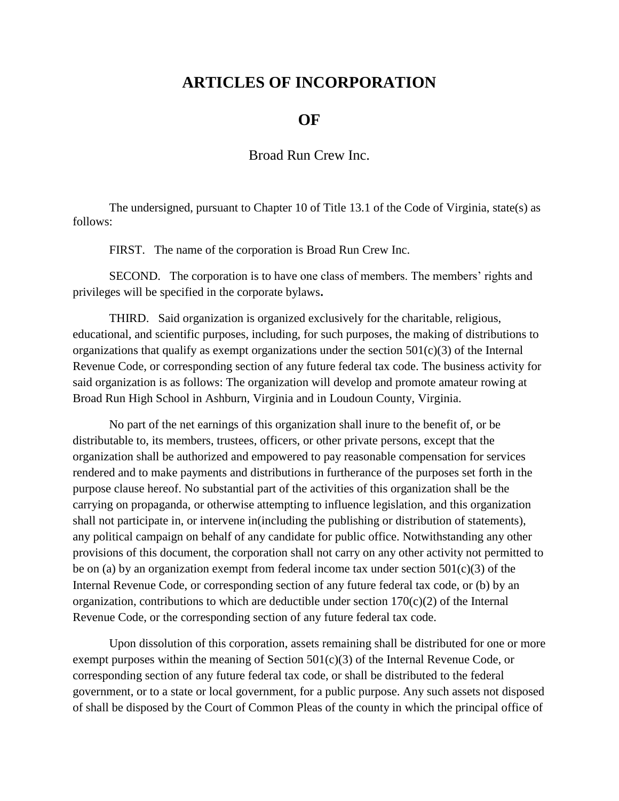## **ARTICLES OF INCORPORATION**

## **OF**

Broad Run Crew Inc.

The undersigned, pursuant to Chapter 10 of Title 13.1 of the Code of Virginia, state(s) as follows:

FIRST. The name of the corporation is Broad Run Crew Inc.

SECOND. The corporation is to have one class of members. The members' rights and privileges will be specified in the corporate bylaws**.**

THIRD. Said organization is organized exclusively for the charitable, religious, educational, and scientific purposes, including, for such purposes, the making of distributions to organizations that qualify as exempt organizations under the section  $501(c)(3)$  of the Internal Revenue Code, or corresponding section of any future federal tax code. The business activity for said organization is as follows: The organization will develop and promote amateur rowing at Broad Run High School in Ashburn, Virginia and in Loudoun County, Virginia.

No part of the net earnings of this organization shall inure to the benefit of, or be distributable to, its members, trustees, officers, or other private persons, except that the organization shall be authorized and empowered to pay reasonable compensation for services rendered and to make payments and distributions in furtherance of the purposes set forth in the purpose clause hereof. No substantial part of the activities of this organization shall be the carrying on propaganda, or otherwise attempting to influence legislation, and this organization shall not participate in, or intervene in(including the publishing or distribution of statements), any political campaign on behalf of any candidate for public office. Notwithstanding any other provisions of this document, the corporation shall not carry on any other activity not permitted to be on (a) by an organization exempt from federal income tax under section  $501(c)(3)$  of the Internal Revenue Code, or corresponding section of any future federal tax code, or (b) by an organization, contributions to which are deductible under section  $170(c)(2)$  of the Internal Revenue Code, or the corresponding section of any future federal tax code.

Upon dissolution of this corporation, assets remaining shall be distributed for one or more exempt purposes within the meaning of Section  $501(c)(3)$  of the Internal Revenue Code, or corresponding section of any future federal tax code, or shall be distributed to the federal government, or to a state or local government, for a public purpose. Any such assets not disposed of shall be disposed by the Court of Common Pleas of the county in which the principal office of